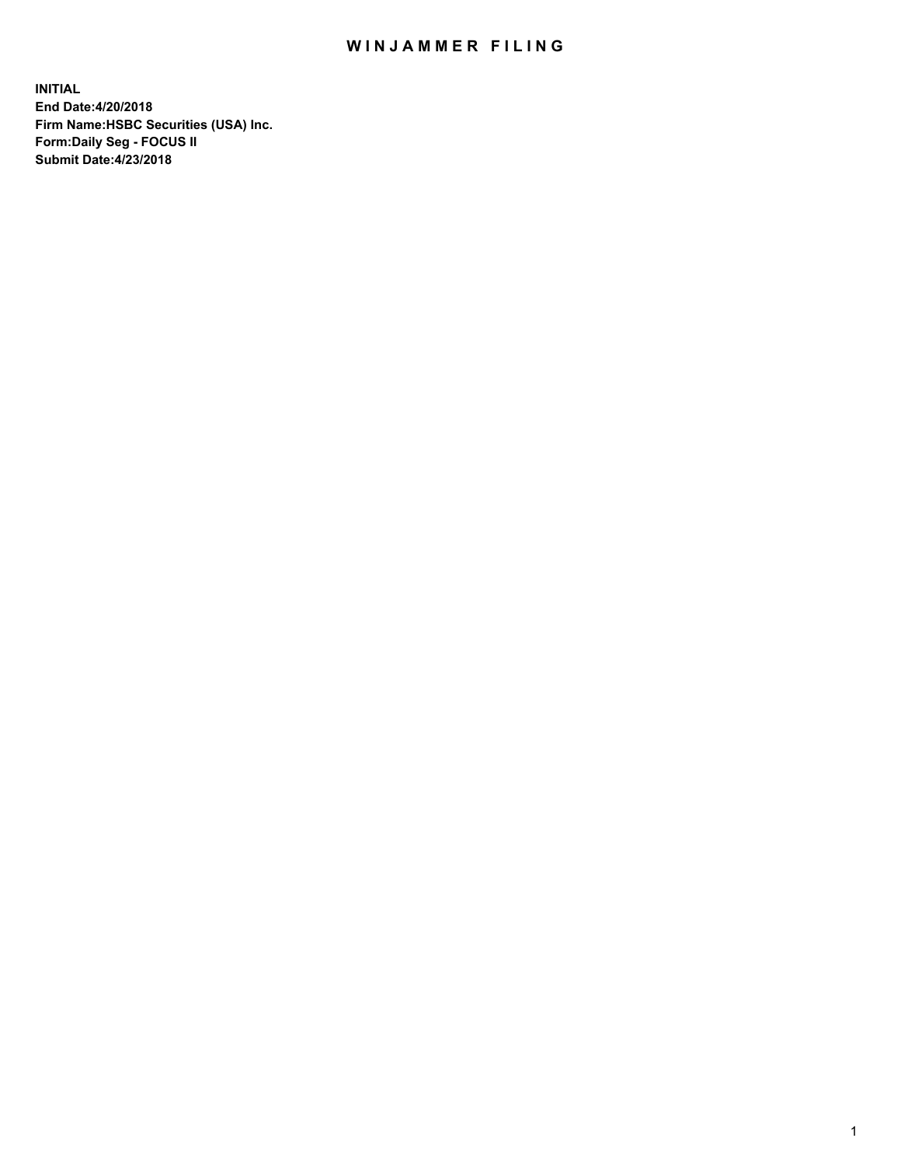## WIN JAMMER FILING

**INITIAL End Date:4/20/2018 Firm Name:HSBC Securities (USA) Inc. Form:Daily Seg - FOCUS II Submit Date:4/23/2018**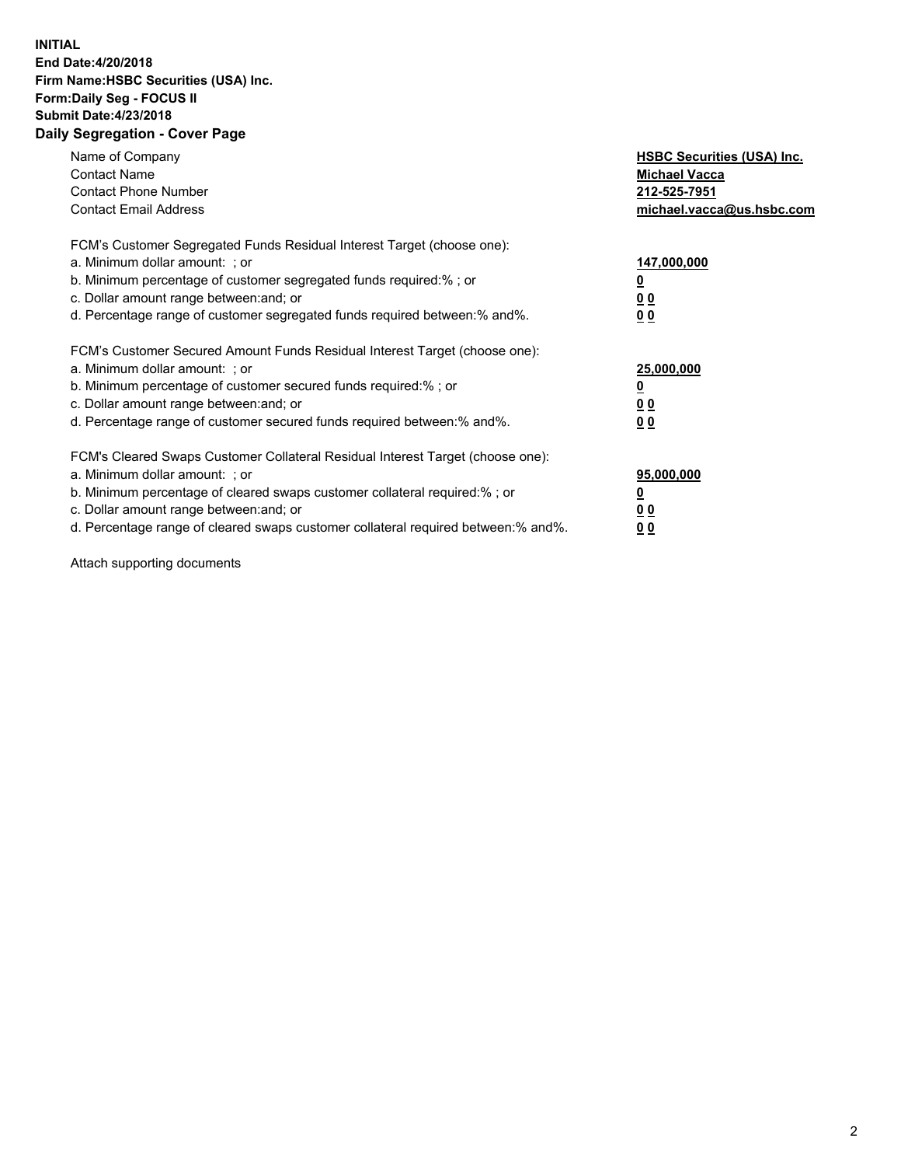## **INITIAL End Date:4/20/2018 Firm Name:HSBC Securities (USA) Inc. Form:Daily Seg - FOCUS II Submit Date:4/23/2018 Daily Segregation - Cover Page**

| Name of Company<br><b>Contact Name</b><br><b>Contact Phone Number</b><br><b>Contact Email Address</b>                                                                                                                                                                                                                         | <b>HSBC Securities (USA) Inc.</b><br><b>Michael Vacca</b><br>212-525-7951<br>michael.vacca@us.hsbc.com |
|-------------------------------------------------------------------------------------------------------------------------------------------------------------------------------------------------------------------------------------------------------------------------------------------------------------------------------|--------------------------------------------------------------------------------------------------------|
| FCM's Customer Segregated Funds Residual Interest Target (choose one):<br>a. Minimum dollar amount: ; or<br>b. Minimum percentage of customer segregated funds required:%; or<br>c. Dollar amount range between: and; or<br>d. Percentage range of customer segregated funds required between: % and %.                       | 147,000,000<br><u>0</u><br><u>00</u><br>00                                                             |
| FCM's Customer Secured Amount Funds Residual Interest Target (choose one):<br>a. Minimum dollar amount: ; or<br>b. Minimum percentage of customer secured funds required:%; or<br>c. Dollar amount range between: and; or<br>d. Percentage range of customer secured funds required between: % and %.                         | 25,000,000<br><u>0</u><br><u>00</u><br>00                                                              |
| FCM's Cleared Swaps Customer Collateral Residual Interest Target (choose one):<br>a. Minimum dollar amount: ; or<br>b. Minimum percentage of cleared swaps customer collateral required:%; or<br>c. Dollar amount range between: and; or<br>d. Percentage range of cleared swaps customer collateral required between:% and%. | 95,000,000<br><u>0</u><br><u>00</u><br><u>00</u>                                                       |

Attach supporting documents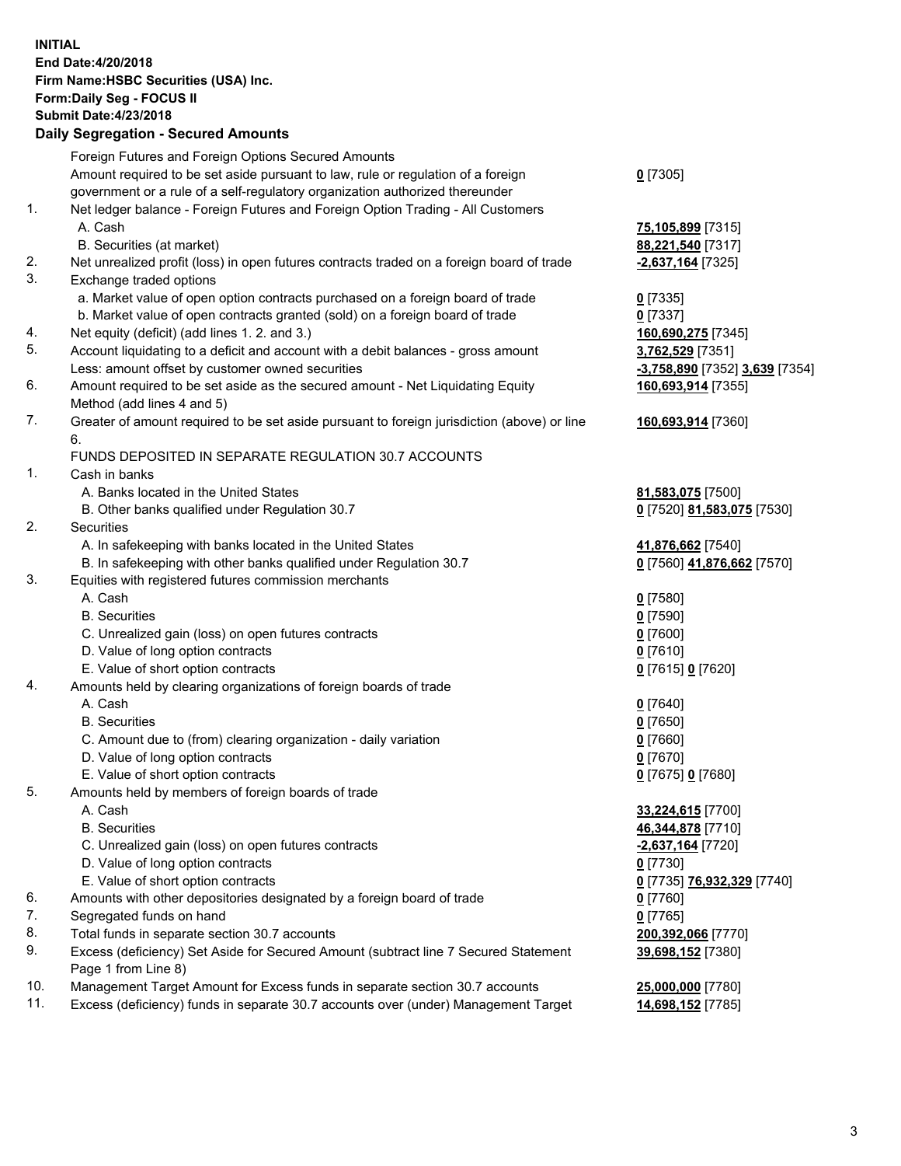**INITIAL End Date:4/20/2018 Firm Name:HSBC Securities (USA) Inc. Form:Daily Seg - FOCUS II Submit Date:4/23/2018 Daily Segregation - Secured Amounts** Foreign Futures and Foreign Options Secured Amounts Amount required to be set aside pursuant to law, rule or regulation of a foreign government or a rule of a self-regulatory organization authorized thereunder **0** [7305] 1. Net ledger balance - Foreign Futures and Foreign Option Trading - All Customers A. Cash **75,105,899** [7315] B. Securities (at market) **88,221,540** [7317] 2. Net unrealized profit (loss) in open futures contracts traded on a foreign board of trade **-2,637,164** [7325] 3. Exchange traded options a. Market value of open option contracts purchased on a foreign board of trade **0** [7335] b. Market value of open contracts granted (sold) on a foreign board of trade **0** [7337] 4. Net equity (deficit) (add lines 1. 2. and 3.) **160,690,275** [7345] 5. Account liquidating to a deficit and account with a debit balances - gross amount **3,762,529** [7351] Less: amount offset by customer owned securities **-3,758,890** [7352] **3,639** [7354] 6. Amount required to be set aside as the secured amount - Net Liquidating Equity Method (add lines 4 and 5) **160,693,914** [7355] 7. Greater of amount required to be set aside pursuant to foreign jurisdiction (above) or line 6. **160,693,914** [7360] FUNDS DEPOSITED IN SEPARATE REGULATION 30.7 ACCOUNTS 1. Cash in banks A. Banks located in the United States **81,583,075** [7500] B. Other banks qualified under Regulation 30.7 **0** [7520] **81,583,075** [7530] 2. Securities A. In safekeeping with banks located in the United States **41,876,662** [7540] B. In safekeeping with other banks qualified under Regulation 30.7 **0** [7560] **41,876,662** [7570] 3. Equities with registered futures commission merchants A. Cash **0** [7580] B. Securities **0** [7590] C. Unrealized gain (loss) on open futures contracts **0** [7600] D. Value of long option contracts **0** [7610] E. Value of short option contracts **0** [7615] **0** [7620] 4. Amounts held by clearing organizations of foreign boards of trade A. Cash **0** [7640] B. Securities **0** [7650] C. Amount due to (from) clearing organization - daily variation **0** [7660] D. Value of long option contracts **0** [7670] E. Value of short option contracts **0** [7675] **0** [7680]

- 5. Amounts held by members of foreign boards of trade
	- A. Cash **33,224,615** [7700]
	- B. Securities **46,344,878** [7710]
	- C. Unrealized gain (loss) on open futures contracts **-2,637,164** [7720]
	- D. Value of long option contracts **0** [7730]
	- E. Value of short option contracts **0** [7735] **76,932,329** [7740]
- 6. Amounts with other depositories designated by a foreign board of trade **0** [7760]
- 7. Segregated funds on hand **0** [7765]
- 8. Total funds in separate section 30.7 accounts **200,392,066** [7770]
- 9. Excess (deficiency) Set Aside for Secured Amount (subtract line 7 Secured Statement Page 1 from Line 8)
- 10. Management Target Amount for Excess funds in separate section 30.7 accounts **25,000,000** [7780]
- 11. Excess (deficiency) funds in separate 30.7 accounts over (under) Management Target **14,698,152** [7785]

**39,698,152** [7380]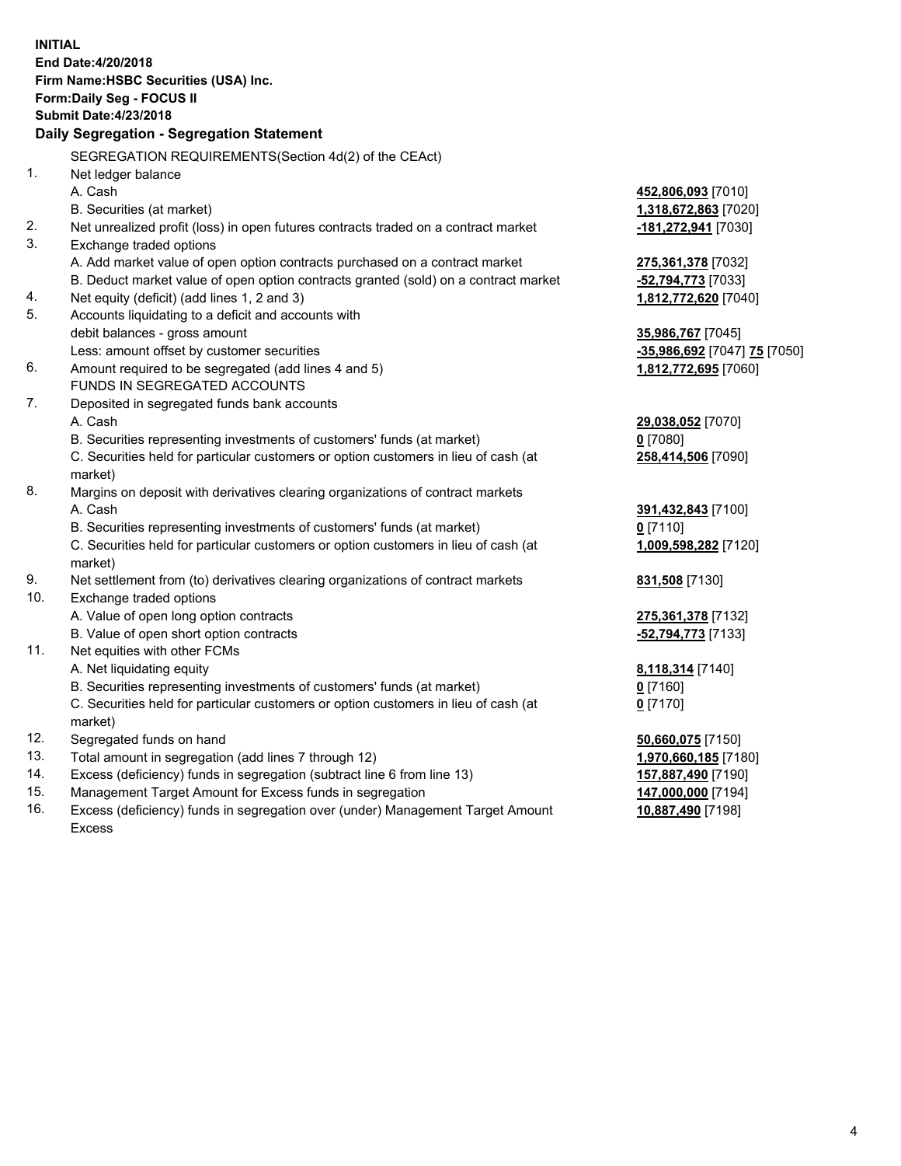**INITIAL End Date:4/20/2018 Firm Name:HSBC Securities (USA) Inc. Form:Daily Seg - FOCUS II Submit Date:4/23/2018 Daily Segregation - Segregation Statement** SEGREGATION REQUIREMENTS(Section 4d(2) of the CEAct) 1. Net ledger balance A. Cash **452,806,093** [7010] B. Securities (at market) **1,318,672,863** [7020] 2. Net unrealized profit (loss) in open futures contracts traded on a contract market **-181,272,941** [7030] 3. Exchange traded options A. Add market value of open option contracts purchased on a contract market **275,361,378** [7032] B. Deduct market value of open option contracts granted (sold) on a contract market **-52,794,773** [7033] 4. Net equity (deficit) (add lines 1, 2 and 3) **1,812,772,620** [7040] 5. Accounts liquidating to a deficit and accounts with debit balances - gross amount **35,986,767** [7045] Less: amount offset by customer securities **-35,986,692** [7047] **75** [7050] 6. Amount required to be segregated (add lines 4 and 5) **1,812,772,695** [7060] FUNDS IN SEGREGATED ACCOUNTS 7. Deposited in segregated funds bank accounts A. Cash **29,038,052** [7070] B. Securities representing investments of customers' funds (at market) **0** [7080] C. Securities held for particular customers or option customers in lieu of cash (at market) **258,414,506** [7090] 8. Margins on deposit with derivatives clearing organizations of contract markets A. Cash **391,432,843** [7100] B. Securities representing investments of customers' funds (at market) **0** [7110] C. Securities held for particular customers or option customers in lieu of cash (at market) **1,009,598,282** [7120] 9. Net settlement from (to) derivatives clearing organizations of contract markets **831,508** [7130] 10. Exchange traded options A. Value of open long option contracts **275,361,378** [7132] B. Value of open short option contracts **-52,794,773** [7133] 11. Net equities with other FCMs A. Net liquidating equity **8,118,314** [7140] B. Securities representing investments of customers' funds (at market) **0** [7160] C. Securities held for particular customers or option customers in lieu of cash (at market) **0** [7170] 12. Segregated funds on hand **50,660,075** [7150] 13. Total amount in segregation (add lines 7 through 12) **1,970,660,185** [7180] 14. Excess (deficiency) funds in segregation (subtract line 6 from line 13) **157,887,490** [7190] 15. Management Target Amount for Excess funds in segregation **147,000,000** [7194]

16. Excess (deficiency) funds in segregation over (under) Management Target Amount Excess

**10,887,490** [7198]